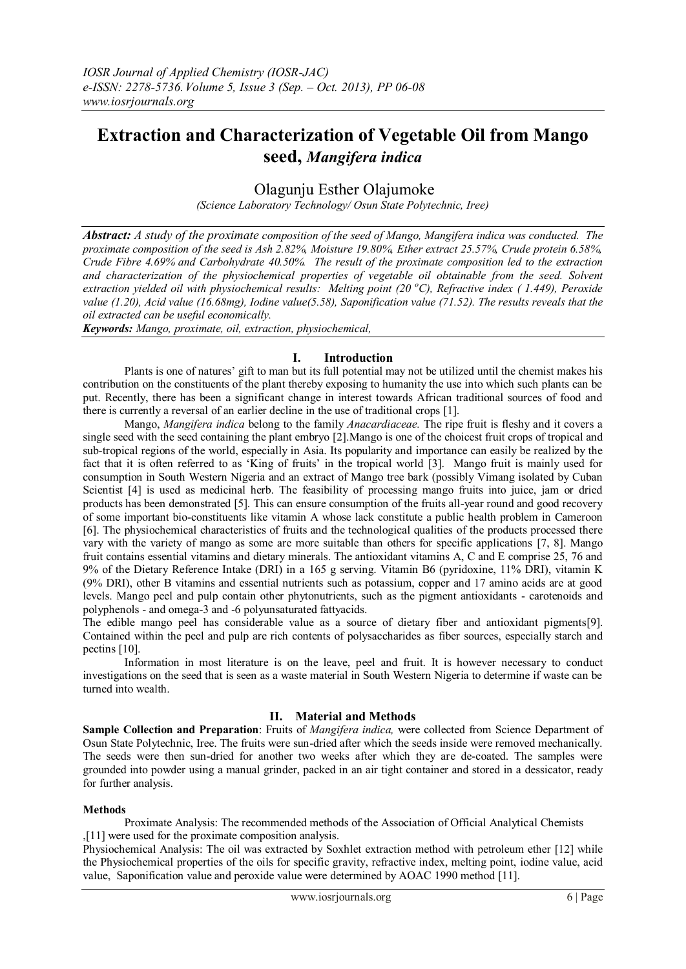# **Extraction and Characterization of Vegetable Oil from Mango seed,** *Mangifera indica*

## Olagunju Esther Olajumoke

*(Science Laboratory Technology/ Osun State Polytechnic, Iree)*

*Abstract: A study of the proximate composition of the seed of Mango, Mangifera indica was conducted. The proximate composition of the seed is Ash 2.82%, Moisture 19.80%, Ether extract 25.57%, Crude protein 6.58%, Crude Fibre 4.69% and Carbohydrate 40.50%. The result of the proximate composition led to the extraction and characterization of the physiochemical properties of vegetable oil obtainable from the seed. Solvent extraction yielded oil with physiochemical results: Melting point (20 <sup>o</sup>C), Refractive index ( 1.449), Peroxide value (1.20), Acid value (16.68mg), Iodine value(5.58), Saponification value (71.52). The results reveals that the oil extracted can be useful economically.*

*Keywords: Mango, proximate, oil, extraction, physiochemical,*

### **I. Introduction**

 Plants is one of natures' gift to man but its full potential may not be utilized until the chemist makes his contribution on the constituents of the plant thereby exposing to humanity the use into which such plants can be put. Recently, there has been a significant change in interest towards African traditional sources of food and there is currently a reversal of an earlier decline in the use of traditional crops [1].

 Mango, *Mangifera indica* belong to the family *Anacardiaceae.* The ripe fruit is fleshy and it covers a single seed with the seed containing the plant embryo [2].Mango is one of the choicest fruit crops of tropical and sub-tropical regions of the world, especially in Asia. Its popularity and importance can easily be realized by the fact that it is often referred to as 'King of fruits' in the tropical world [3]. Mango fruit is mainly used for consumption in South Western Nigeria and an extract of Mango tree bark (possibly Vimang isolated by Cuban Scientist [4] is used as medicinal herb. The feasibility of processing mango fruits into juice, jam or dried products has been demonstrated [5]. This can ensure consumption of the fruits all-year round and good recovery of some important bio-constituents like vitamin A whose lack constitute a public health problem in Cameroon [6]. The physiochemical characteristics of fruits and the technological qualities of the products processed there vary with the variety of mango as some are more suitable than others for specific applications [7, 8]. Mango fruit contains essential vitamins and dietary minerals. The antioxidant vitamins A, C and E comprise 25, 76 and 9% of the Dietary Reference Intake (DRI) in a 165 g serving. Vitamin B6 (pyridoxine, 11% DRI), vitamin K (9% DRI), other B vitamins and essential nutrients such as potassium, copper and 17 amino acids are at good levels. Mango peel and pulp contain other phytonutrients, such as the pigment antioxidants - carotenoids and polyphenols - and omega-3 and -6 polyunsaturated fattyacids.

The edible mango peel has considerable value as a source of dietary fiber and antioxidant pigments[9]. Contained within the peel and pulp are rich contents of polysaccharides as fiber sources, especially starch and pectins [10].

Information in most literature is on the leave, peel and fruit. It is however necessary to conduct investigations on the seed that is seen as a waste material in South Western Nigeria to determine if waste can be turned into wealth.

### **II. Material and Methods**

**Sample Collection and Preparation**: Fruits of *Mangifera indica,* were collected from Science Department of Osun State Polytechnic, Iree. The fruits were sun-dried after which the seeds inside were removed mechanically. The seeds were then sun-dried for another two weeks after which they are de-coated. The samples were grounded into powder using a manual grinder, packed in an air tight container and stored in a dessicator, ready for further analysis.

### **Methods**

Proximate Analysis: The recommended methods of the Association of Official Analytical Chemists ,[11] were used for the proximate composition analysis.

Physiochemical Analysis: The oil was extracted by Soxhlet extraction method with petroleum ether [12] while the Physiochemical properties of the oils for specific gravity, refractive index, melting point, iodine value, acid value, Saponification value and peroxide value were determined by AOAC 1990 method [11].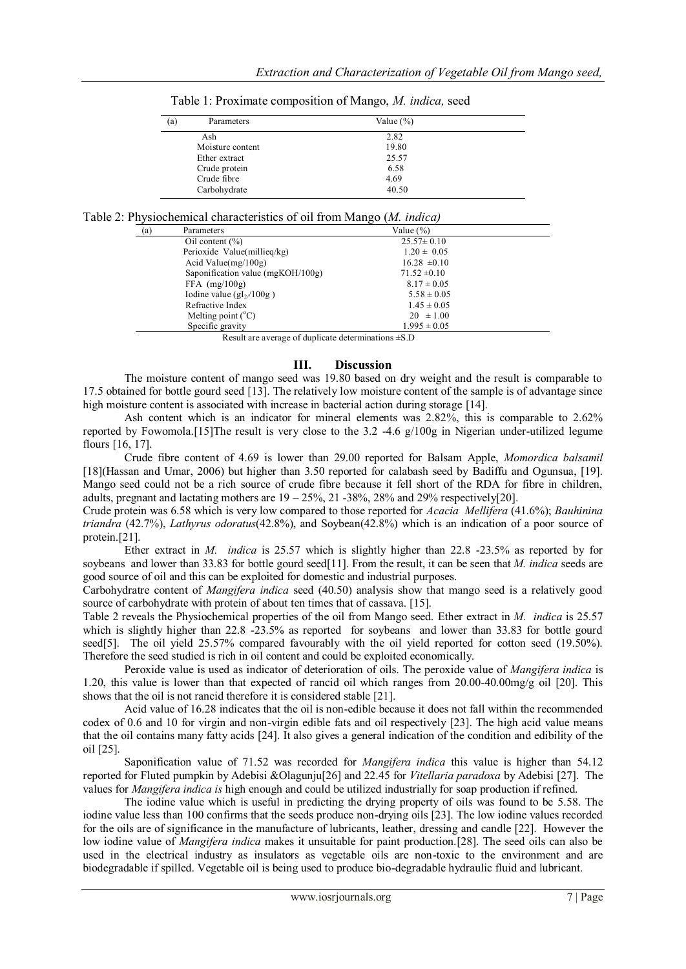| Parameters<br>(a) | Value $(\% )$ |  |
|-------------------|---------------|--|
| Ash               | 2.82          |  |
| Moisture content  | 19.80         |  |
| Ether extract     | 25.57         |  |
| Crude protein     | 6.58          |  |
| Crude fibre       | 4.69          |  |
| Carbohydrate      | 40.50         |  |

Table 1: Proximate composition of Mango, *M. indica,* seed

| Table 2: Physiochemical characteristics of oil from Mango (M. indica) |  |  |
|-----------------------------------------------------------------------|--|--|
|                                                                       |  |  |

| (a) | Parameters                                                                 | Value $(\% )$    |  |
|-----|----------------------------------------------------------------------------|------------------|--|
|     | Oil content $(\% )$                                                        | $25.57 \pm 0.10$ |  |
|     | Perioxide Value(millieq/kg)                                                | $1.20 \pm 0.05$  |  |
|     | Acid Value( $mg/100g$ )                                                    | $16.28 \pm 0.10$ |  |
|     | Saponification value (mgKOH/100g)                                          | $71.52 \pm 0.10$ |  |
|     | $FFA$ (mg/100g)                                                            | $8.17 \pm 0.05$  |  |
|     | Iodine value ( $gI_2/100g$ )                                               | $5.58 \pm 0.05$  |  |
|     | Refractive Index                                                           | $1.45 \pm 0.05$  |  |
|     | Melting point $(^{\circ}C)$                                                | $20 \pm 1.00$    |  |
|     | Specific gravity                                                           | $1.995 \pm 0.05$ |  |
|     | $\mathbf{D}$ and the compact of the Contrate determination of $\mathbf{D}$ |                  |  |

Result are average of duplicate determinations ±S.D

#### **III. Discussion**

The moisture content of mango seed was 19.80 based on dry weight and the result is comparable to 17.5 obtained for bottle gourd seed [13]. The relatively low moisture content of the sample is of advantage since high moisture content is associated with increase in bacterial action during storage [14].

Ash content which is an indicator for mineral elements was 2.82%, this is comparable to 2.62% reported by Fowomola.[15]The result is very close to the 3.2 -4.6 g/100g in Nigerian under-utilized legume flours [16, 17].

Crude fibre content of 4.69 is lower than 29.00 reported for Balsam Apple, *Momordica balsamil* [18](Hassan and Umar, 2006) but higher than 3.50 reported for calabash seed by Badiffu and Ogunsua, [19]. Mango seed could not be a rich source of crude fibre because it fell short of the RDA for fibre in children, adults, pregnant and lactating mothers are  $19 - 25\%$ ,  $21 - 38\%$ ,  $28\%$  and  $29\%$  respectively[20].

Crude protein was 6.58 which is very low compared to those reported for *Acacia Mellifera* (41.6%); *Bauhinina triandra* (42.7%), *Lathyrus odoratus*(42.8%), and Soybean(42.8%) which is an indication of a poor source of protein.[21].

Ether extract in *M. indica* is 25.57 which is slightly higher than 22.8 -23.5% as reported by for soybeans and lower than 33.83 for bottle gourd seed[11]. From the result, it can be seen that *M. indica* seeds are good source of oil and this can be exploited for domestic and industrial purposes.

Carbohydratre content of *Mangifera indica* seed (40.50) analysis show that mango seed is a relatively good source of carbohydrate with protein of about ten times that of cassava. [15].

Table 2 reveals the Physiochemical properties of the oil from Mango seed. Ether extract in *M. indica* is 25.57 which is slightly higher than 22.8 -23.5% as reported for soybeans and lower than 33.83 for bottle gourd seed[5]. The oil yield 25.57% compared favourably with the oil yield reported for cotton seed (19.50%). Therefore the seed studied is rich in oil content and could be exploited economically.

 Peroxide value is used as indicator of deterioration of oils. The peroxide value of *Mangifera indica* is 1.20, this value is lower than that expected of rancid oil which ranges from 20.00-40.00mg/g oil [20]. This shows that the oil is not rancid therefore it is considered stable [21].

 Acid value of 16.28 indicates that the oil is non-edible because it does not fall within the recommended codex of 0.6 and 10 for virgin and non-virgin edible fats and oil respectively [23]. The high acid value means that the oil contains many fatty acids [24]. It also gives a general indication of the condition and edibility of the oil [25].

Saponification value of 71.52 was recorded for *Mangifera indica* this value is higher than 54.12 reported for Fluted pumpkin by Adebisi &Olagunju[26] and 22.45 for *Vitellaria paradoxa* by Adebisi [27]. The values for *Mangifera indica is* high enough and could be utilized industrially for soap production if refined.

 The iodine value which is useful in predicting the drying property of oils was found to be 5.58. The iodine value less than 100 confirms that the seeds produce non-drying oils [23]. The low iodine values recorded for the oils are of significance in the manufacture of lubricants, leather, dressing and candle [22]. However the low iodine value of *Mangifera indica* makes it unsuitable for paint production.[28]. The seed oils can also be used in the electrical industry as insulators as vegetable oils are non-toxic to the environment and are biodegradable if spilled. Vegetable oil is being used to produce bio-degradable hydraulic fluid and lubricant.